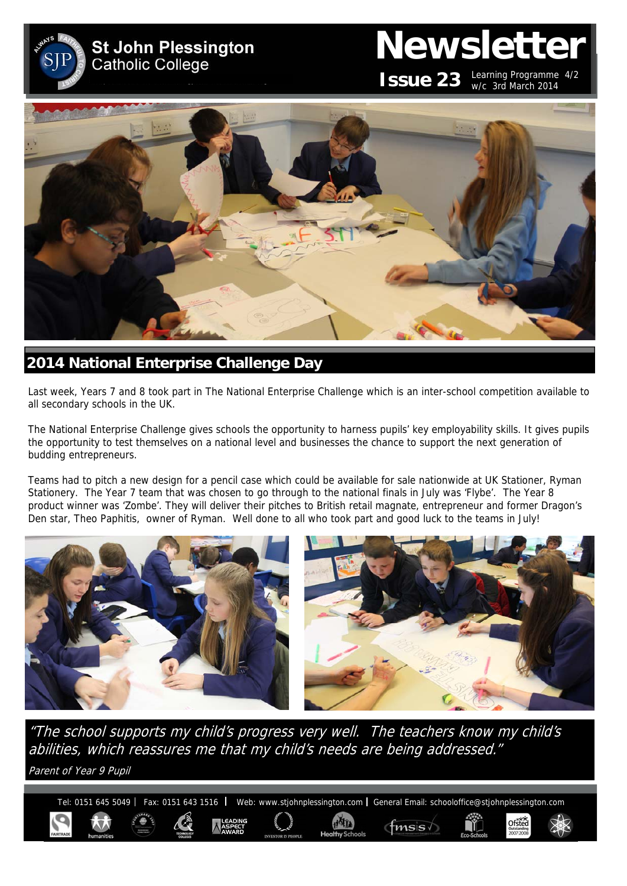**St John Plessington Catholic College** 

# **Newsletter ISSUE 23** Learning Programme 4/2



# **2014 National Enterprise Challenge Day**

Last week, Years 7 and 8 took part in The National Enterprise Challenge which is an inter-school competition available to all secondary schools in the UK.

The National Enterprise Challenge gives schools the opportunity to harness pupils' key employability skills. It gives pupils the opportunity to test themselves on a national level and businesses the chance to support the next generation of budding entrepreneurs.

Teams had to pitch a new design for a pencil case which could be available for sale nationwide at UK Stationer, Ryman Stationery. The Year 7 team that was chosen to go through to the national finals in July was 'Flybe'. The Year 8 product winner was 'Zombe'. They will deliver their pitches to British retail magnate, entrepreneur and former Dragon's Den star, Theo Paphitis, owner of Ryman. Well done to all who took part and good luck to the teams in July!



"The school supports my child's progress very well. The teachers know my child's abilities, which reassures me that my child's needs are being addressed." Parent of Year 9 Pupil

Tel: 0151 645 5049 | Fax: 0151 643 1516 | Web: www.stjohnplessington.com | General Email: schooloffice@stjohnplessington.com Ofsted

 $f$ msis $\sqrt{ }$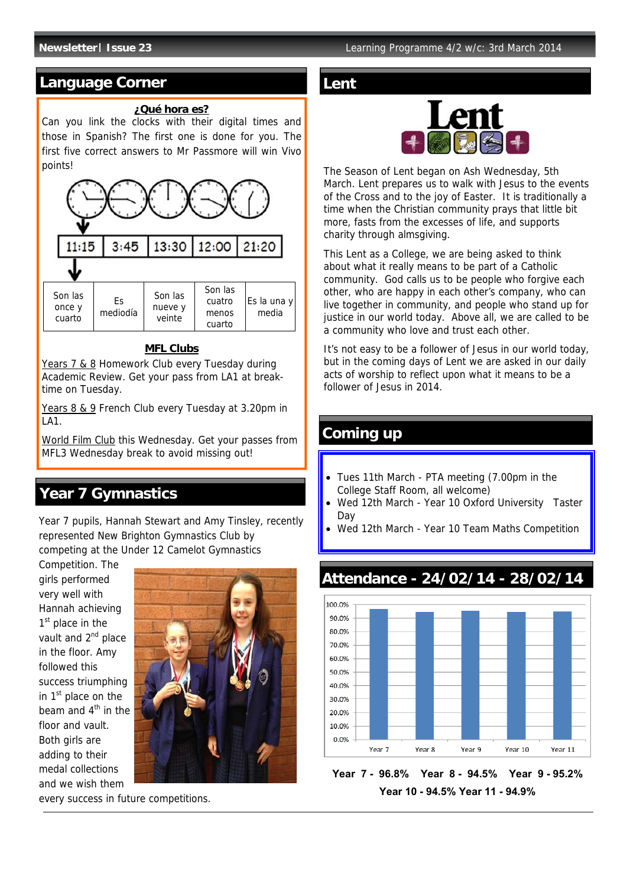### **Language Corner Lent Lent**

#### **¿Qué hora es?**

Can you link the clocks with their digital times and those in Spanish? The first one is done for you. The first five correct answers to Mr Passmore will win Vivo points!



#### **MFL Clubs**

Years 7 & 8 Homework Club every Tuesday during Academic Review. Get your pass from LA1 at breaktime on Tuesday.

Years 8 & 9 French Club every Tuesday at 3.20pm in LA1.

World Film Club this Wednesday. Get your passes from MFL3 Wednesday break to avoid missing out!

# **Year 7 Gymnastics**

Year 7 pupils, Hannah Stewart and Amy Tinsley, recently represented New Brighton Gymnastics Club by competing at the Under 12 Camelot Gymnastics

Competition. The girls performed very well with Hannah achieving  $1<sup>st</sup>$  place in the vault and 2<sup>nd</sup> place in the floor. Amy followed this success triumphing in  $1<sup>st</sup>$  place on the beam and  $4<sup>th</sup>$  in the floor and vault. Both girls are adding to their medal collections and we wish them



every success in future competitions.



The Season of Lent began on Ash Wednesday, 5th March. Lent prepares us to walk with Jesus to the events of the Cross and to the joy of Easter. It is traditionally a time when the Christian community prays that little bit more, fasts from the excesses of life, and supports charity through almsgiving.

This Lent as a College, we are being asked to think about what it really means to be part of a Catholic community. God calls us to be people who forgive each other, who are happy in each other's company, who can live together in community, and people who stand up for justice in our world today. Above all, we are called to be a community who love and trust each other.

It's not easy to be a follower of Jesus in our world today, but in the coming days of Lent we are asked in our daily acts of worship to reflect upon what it means to be a follower of Jesus in 2014.

## **Coming up**

- Tues 11th March PTA meeting (7.00pm in the College Staff Room, all welcome)
- Wed 12th March Year 10 Oxford University Taster Day
- Wed 12th March Year 10 Team Maths Competition

# **Attendance - 24/02/14 - 28/02/14**



**Year 7 - 96.8% Year 8 - 94.5% Year 9 - 95.2% Year 10 - 94.5% Year 11 - 94.9%**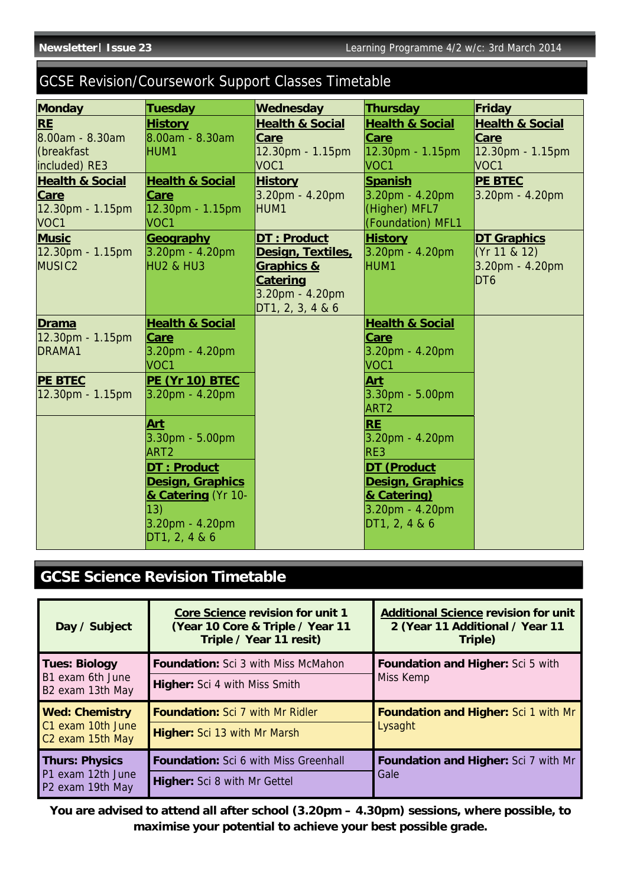# GCSE Revision/Coursework Support Classes Timetable

| <b>Monday</b>                                                  | <b>Tuesday</b>                                                                                      | Wednesday                                                                                         | <b>Thursday</b>                                                                   | Friday                                                                   |
|----------------------------------------------------------------|-----------------------------------------------------------------------------------------------------|---------------------------------------------------------------------------------------------------|-----------------------------------------------------------------------------------|--------------------------------------------------------------------------|
| <b>RE</b><br>8.00am - 8.30am<br>(breakfast<br>included) RE3    | <b>History</b><br>8.00am - 8.30am<br>HUM1                                                           | <b>Health &amp; Social</b><br>Care<br>12.30pm - 1.15pm<br>VOC1                                    | <b>Health &amp; Social</b><br><b>Care</b><br>12.30pm - 1.15pm<br>VOC <sub>1</sub> | <b>Health &amp; Social</b><br><b>Care</b><br>12.30pm - 1.15pm<br>VOC1    |
| <b>Health &amp; Social</b><br>Care<br>12.30pm - 1.15pm<br>VOC1 | <b>Health &amp; Social</b><br><b>Care</b><br>12.30pm - 1.15pm<br>VOC1                               | <b>History</b><br>3.20pm - 4.20pm<br>HUM1                                                         | <b>Spanish</b><br>$3.20pm - 4.20pm$<br>(Higher) MFL7<br>(Foundation) MFL1         | <b>PE BTEC</b><br>3.20pm - 4.20pm                                        |
| <b>Music</b><br>$12.30pm - 1.15pm$<br>MUSIC <sub>2</sub>       | Geography<br>3.20pm - 4.20pm<br>HU2 & HU3                                                           | DT: Product<br>Design, Textiles,<br>Graphics &<br>Catering<br>3.20pm - 4.20pm<br>DT1, 2, 3, 4 & 6 | <b>History</b><br>$3.20pm - 4.20pm$<br>HUM1                                       | <b>DT Graphics</b><br>(Yr 11 & 12)<br>3.20pm - 4.20pm<br>DT <sub>6</sub> |
| <b>Drama</b><br>12.30pm - 1.15pm<br><b>DRAMA1</b>              | <b>Health &amp; Social</b><br><b>Care</b><br>$3.20pm - 4.20pm$<br>VOC <sub>1</sub>                  |                                                                                                   | <b>Health &amp; Social</b><br>Care<br>3.20pm - 4.20pm<br>VOC <sub>1</sub>         |                                                                          |
| <b>PE BTEC</b><br>$12.30pm - 1.15pm$                           | PE (Yr 10) BTEC<br>$3.20pm - 4.20pm$                                                                |                                                                                                   | <b>Art</b><br>$3.30pm - 5.00pm$<br>ART <sub>2</sub>                               |                                                                          |
|                                                                | Art<br>$3.30pm - 5.00pm$<br>ART <sub>2</sub><br>DT: Product                                         |                                                                                                   | <b>RE</b><br>$3.20pm - 4.20pm$<br>RE3<br><b>DT (Product</b>                       |                                                                          |
|                                                                | <b>Design, Graphics</b><br>& Catering (Yr 10-<br>$ 13\rangle$<br>$3.20pm - 4.20pm$<br>DT1, 2, 4 & 6 |                                                                                                   | <b>Design, Graphics</b><br>& Catering)<br>3.20pm - 4.20pm<br>DT1, 2, 4 & 6        |                                                                          |

# **GCSE Science Revision Timetable**

| Day / Subject                                                              | <b>Core Science revision for unit 1</b><br>(Year 10 Core & Triple / Year 11<br>Triple / Year 11 resit) | <b>Additional Science revision for unit</b><br>2 (Year 11 Additional / Year 11<br>Triple) |  |
|----------------------------------------------------------------------------|--------------------------------------------------------------------------------------------------------|-------------------------------------------------------------------------------------------|--|
| <b>Tues: Biology</b>                                                       | <b>Foundation:</b> Sci 3 with Miss McMahon                                                             | <b>Foundation and Higher: Sci 5 with</b><br>Miss Kemp                                     |  |
| B1 exam 6th June<br>B2 exam 13th May                                       | <b>Higher:</b> Sci 4 with Miss Smith                                                                   |                                                                                           |  |
| <b>Wed: Chemistry</b><br>C1 exam 10th June<br>C <sub>2</sub> exam 15th May | <b>Foundation: Sci 7 with Mr Ridler</b>                                                                | Foundation and Higher: Sci 1 with Mr<br>Lysaght                                           |  |
|                                                                            | <b>Higher:</b> Sci 13 with Mr Marsh                                                                    |                                                                                           |  |
| <b>Thurs: Physics</b><br>P1 exam 12th June<br>P <sub>2</sub> exam 19th May | Foundation: Sci 6 with Miss Greenhall                                                                  | Foundation and Higher: Sci 7 with Mr<br>Gale                                              |  |
|                                                                            | <b>Higher:</b> Sci 8 with Mr Gettel                                                                    |                                                                                           |  |

**You are advised to attend all after school (3.20pm – 4.30pm) sessions, where possible, to maximise your potential to achieve your best possible grade.**